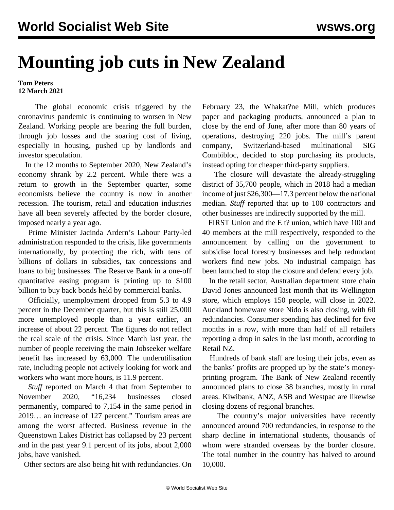## **Mounting job cuts in New Zealand**

**Tom Peters 12 March 2021**

 The global economic crisis triggered by the coronavirus pandemic is continuing to worsen in New Zealand. Working people are bearing the full burden, through job losses and the soaring cost of living, especially in [housing](/en/articles/2021/03/01/nzho-m01.html), pushed up by landlords and investor speculation.

 In the 12 months to September 2020, New Zealand's economy shrank by 2.2 percent. While there was a return to growth in the September quarter, some economists believe the country is now in another recession. The tourism, retail and education industries have all been severely affected by the border closure, imposed nearly a year ago.

 Prime Minister Jacinda Ardern's Labour Party-led administration responded to the crisis, like governments internationally, by protecting the rich, with tens of billions of dollars in subsidies, tax concessions and loans to big businesses. The Reserve Bank in a one-off quantitative easing program is printing up to \$100 billion to buy back bonds held by commercial banks.

 Officially, unemployment dropped from 5.3 to 4.9 percent in the December quarter, but this is still 25,000 more unemployed people than a year earlier, an increase of about 22 percent. The figures do not reflect the real scale of the crisis. Since March last year, the number of people receiving the main Jobseeker welfare benefit has increased by 63,000. The underutilisation rate, including people not actively looking for work and workers who want more hours, is 11.9 percent.

 *Stuff* reported on March 4 that from September to November 2020, "16,234 businesses closed permanently, compared to 7,154 in the same period in 2019… an increase of 127 percent." Tourism areas are among the worst affected. Business revenue in the Queenstown Lakes District has collapsed by 23 percent and in the past year 9.1 percent of its jobs, about 2,000 jobs, have vanished.

Other sectors are also being hit with redundancies. On

February 23, the Whakat?ne Mill, which produces paper and packaging products, announced a plan to close by the end of June, after more than 80 years of operations, destroying 220 jobs. The mill's parent company, Switzerland-based multinational SIG Combibloc, decided to stop purchasing its products, instead opting for cheaper third-party suppliers.

 The closure will devastate the already-struggling district of 35,700 people, which in 2018 had a median income of just \$26,300—17.3 percent below the national median. *Stuff* reported that up to 100 contractors and other businesses are indirectly supported by the mill.

 FIRST Union and the E t? union, which have 100 and 40 members at the mill respectively, responded to the announcement by calling on the government to subsidise local forestry businesses and help redundant workers find new jobs. No industrial campaign has been launched to stop the closure and defend every job.

 In the retail sector, Australian department store chain David Jones announced last month that its Wellington store, which employs 150 people, will close in 2022. Auckland homeware store Nido is also closing, with 60 redundancies. Consumer spending has declined for five months in a row, with more than half of all retailers reporting a drop in sales in the last month, according to Retail NZ.

 Hundreds of bank staff are losing their jobs, even as the banks' profits are propped up by the state's moneyprinting program. The Bank of New Zealand recently announced plans to close 38 branches, mostly in rural areas. Kiwibank, ANZ, ASB and Westpac are likewise closing dozens of regional branches.

 The country's major universities have recently announced around 700 redundancies, in response to the sharp decline in international students, thousands of whom were [stranded](/en/articles/2020/12/21/nzst-d21.html) overseas by the border closure. The total number in the country has halved to around 10,000.